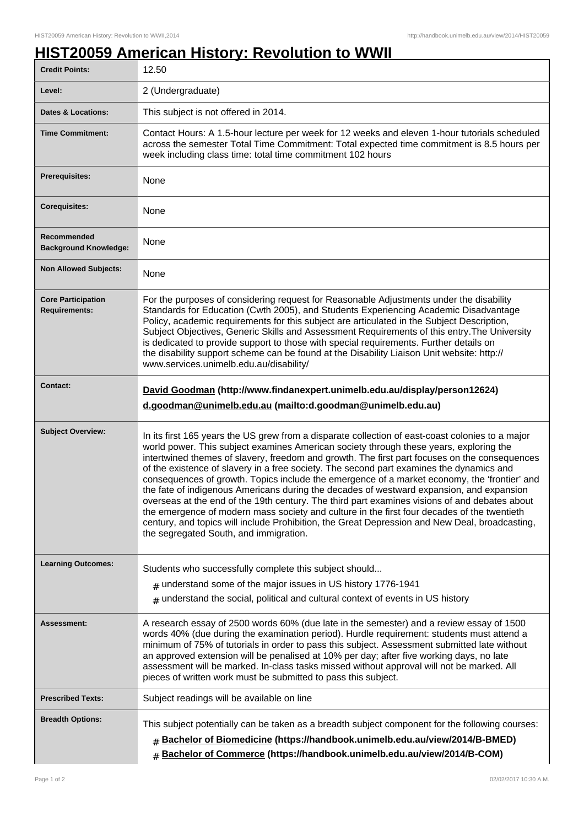## **HIST20059 American History: Revolution to WWII**

| <b>Credit Points:</b>                             | 12.50                                                                                                                                                                                                                                                                                                                                                                                                                                                                                                                                                                                                                                                                                                                                                                                                                                                                                                                           |
|---------------------------------------------------|---------------------------------------------------------------------------------------------------------------------------------------------------------------------------------------------------------------------------------------------------------------------------------------------------------------------------------------------------------------------------------------------------------------------------------------------------------------------------------------------------------------------------------------------------------------------------------------------------------------------------------------------------------------------------------------------------------------------------------------------------------------------------------------------------------------------------------------------------------------------------------------------------------------------------------|
| Level:                                            | 2 (Undergraduate)                                                                                                                                                                                                                                                                                                                                                                                                                                                                                                                                                                                                                                                                                                                                                                                                                                                                                                               |
| <b>Dates &amp; Locations:</b>                     | This subject is not offered in 2014.                                                                                                                                                                                                                                                                                                                                                                                                                                                                                                                                                                                                                                                                                                                                                                                                                                                                                            |
| <b>Time Commitment:</b>                           | Contact Hours: A 1.5-hour lecture per week for 12 weeks and eleven 1-hour tutorials scheduled<br>across the semester Total Time Commitment: Total expected time commitment is 8.5 hours per<br>week including class time: total time commitment 102 hours                                                                                                                                                                                                                                                                                                                                                                                                                                                                                                                                                                                                                                                                       |
| <b>Prerequisites:</b>                             | None                                                                                                                                                                                                                                                                                                                                                                                                                                                                                                                                                                                                                                                                                                                                                                                                                                                                                                                            |
| <b>Corequisites:</b>                              | None                                                                                                                                                                                                                                                                                                                                                                                                                                                                                                                                                                                                                                                                                                                                                                                                                                                                                                                            |
| Recommended<br><b>Background Knowledge:</b>       | None                                                                                                                                                                                                                                                                                                                                                                                                                                                                                                                                                                                                                                                                                                                                                                                                                                                                                                                            |
| <b>Non Allowed Subjects:</b>                      | None                                                                                                                                                                                                                                                                                                                                                                                                                                                                                                                                                                                                                                                                                                                                                                                                                                                                                                                            |
| <b>Core Participation</b><br><b>Requirements:</b> | For the purposes of considering request for Reasonable Adjustments under the disability<br>Standards for Education (Cwth 2005), and Students Experiencing Academic Disadvantage<br>Policy, academic requirements for this subject are articulated in the Subject Description,<br>Subject Objectives, Generic Skills and Assessment Requirements of this entry. The University<br>is dedicated to provide support to those with special requirements. Further details on<br>the disability support scheme can be found at the Disability Liaison Unit website: http://<br>www.services.unimelb.edu.au/disability/                                                                                                                                                                                                                                                                                                                |
| <b>Contact:</b>                                   | David Goodman (http://www.findanexpert.unimelb.edu.au/display/person12624)<br>d.goodman@unimelb.edu.au (mailto:d.goodman@unimelb.edu.au)                                                                                                                                                                                                                                                                                                                                                                                                                                                                                                                                                                                                                                                                                                                                                                                        |
| <b>Subject Overview:</b>                          | In its first 165 years the US grew from a disparate collection of east-coast colonies to a major<br>world power. This subject examines American society through these years, exploring the<br>intertwined themes of slavery, freedom and growth. The first part focuses on the consequences<br>of the existence of slavery in a free society. The second part examines the dynamics and<br>consequences of growth. Topics include the emergence of a market economy, the 'frontier' and<br>the fate of indigenous Americans during the decades of westward expansion, and expansion<br>overseas at the end of the 19th century. The third part examines visions of and debates about<br>the emergence of modern mass society and culture in the first four decades of the twentieth<br>century, and topics will include Prohibition, the Great Depression and New Deal, broadcasting,<br>the segregated South, and immigration. |
| <b>Learning Outcomes:</b>                         | Students who successfully complete this subject should<br>$#$ understand some of the major issues in US history 1776-1941<br>$#$ understand the social, political and cultural context of events in US history                                                                                                                                                                                                                                                                                                                                                                                                                                                                                                                                                                                                                                                                                                                  |
| <b>Assessment:</b>                                | A research essay of 2500 words 60% (due late in the semester) and a review essay of 1500<br>words 40% (due during the examination period). Hurdle requirement: students must attend a<br>minimum of 75% of tutorials in order to pass this subject. Assessment submitted late without<br>an approved extension will be penalised at 10% per day; after five working days, no late<br>assessment will be marked. In-class tasks missed without approval will not be marked. All<br>pieces of written work must be submitted to pass this subject.                                                                                                                                                                                                                                                                                                                                                                                |
| <b>Prescribed Texts:</b>                          | Subject readings will be available on line                                                                                                                                                                                                                                                                                                                                                                                                                                                                                                                                                                                                                                                                                                                                                                                                                                                                                      |
| <b>Breadth Options:</b>                           | This subject potentially can be taken as a breadth subject component for the following courses:<br><b># Bachelor of Biomedicine (https://handbook.unimelb.edu.au/view/2014/B-BMED)</b><br>Bachelor of Commerce (https://handbook.unimelb.edu.au/view/2014/B-COM)                                                                                                                                                                                                                                                                                                                                                                                                                                                                                                                                                                                                                                                                |